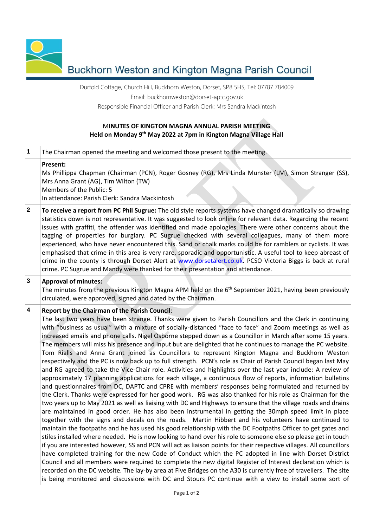

Durfold Cottage, Church Hill, Buckhorn Weston, Dorset, SP8 5HS, Tel: 07787 784009 Email: [buckhornweston@dorset-aptc.gov.uk](mailto:buckhornweston@dorset-aptc.gov.uk)

Responsible Financial Officer and Parish Clerk: Mrs Sandra Mackintosh

## M**INUTES OF KINGTON MAGNA ANNUAL PARISH MEETING Held on Monday 9 th May 2022 at 7pm in Kington Magna Village Hall**

| $\mathbf{1}$     | The Chairman opened the meeting and welcomed those present to the meeting.                                                                                                                                                                                                                                                                                                                                                                                                                                                                                                                                                                                                                                                                                                                                                                                                                                                                                                                                                                                                                                                                                                                                                                                                                                                                                                                                                                                                                                                                                                                                                                                                                                                                                                                                                                                                                                                                                                                                                                                                                                                                                                                                                                                                                                              |
|------------------|-------------------------------------------------------------------------------------------------------------------------------------------------------------------------------------------------------------------------------------------------------------------------------------------------------------------------------------------------------------------------------------------------------------------------------------------------------------------------------------------------------------------------------------------------------------------------------------------------------------------------------------------------------------------------------------------------------------------------------------------------------------------------------------------------------------------------------------------------------------------------------------------------------------------------------------------------------------------------------------------------------------------------------------------------------------------------------------------------------------------------------------------------------------------------------------------------------------------------------------------------------------------------------------------------------------------------------------------------------------------------------------------------------------------------------------------------------------------------------------------------------------------------------------------------------------------------------------------------------------------------------------------------------------------------------------------------------------------------------------------------------------------------------------------------------------------------------------------------------------------------------------------------------------------------------------------------------------------------------------------------------------------------------------------------------------------------------------------------------------------------------------------------------------------------------------------------------------------------------------------------------------------------------------------------------------------------|
|                  | Present:<br>Ms Phillippa Chapman (Chairman (PCN), Roger Gosney (RG), Mrs Linda Munster (LM), Simon Stranger (SS),<br>Mrs Anna Grant (AG), Tim Wilton (TW)<br>Members of the Public: 5<br>In attendance: Parish Clerk: Sandra Mackintosh                                                                                                                                                                                                                                                                                                                                                                                                                                                                                                                                                                                                                                                                                                                                                                                                                                                                                                                                                                                                                                                                                                                                                                                                                                                                                                                                                                                                                                                                                                                                                                                                                                                                                                                                                                                                                                                                                                                                                                                                                                                                                 |
| $\mathbf{2}$     | To receive a report from PC Phil Sugrue: The old style reports systems have changed dramatically so drawing<br>statistics down is not representative. It was suggested to look online for relevant data. Regarding the recent<br>issues with graffiti, the offender was identified and made apologies. There were other concerns about the<br>tagging of properties for burglary. PC Sugrue checked with several colleagues, many of them more<br>experienced, who have never encountered this. Sand or chalk marks could be for ramblers or cyclists. It was<br>emphasised that crime in this area is very rare, sporadic and opportunistic. A useful tool to keep abreast of<br>crime in the county is through Dorset Alert at www.dorsetalert.co.uk. PCSO Victoria Biggs is back at rural<br>crime. PC Sugrue and Mandy were thanked for their presentation and attendance.                                                                                                                                                                                                                                                                                                                                                                                                                                                                                                                                                                                                                                                                                                                                                                                                                                                                                                                                                                                                                                                                                                                                                                                                                                                                                                                                                                                                                                          |
| $\mathbf{3}$     | <b>Approval of minutes:</b><br>The minutes from the previous Kington Magna APM held on the 6 <sup>th</sup> September 2021, having been previously<br>circulated, were approved, signed and dated by the Chairman.                                                                                                                                                                                                                                                                                                                                                                                                                                                                                                                                                                                                                                                                                                                                                                                                                                                                                                                                                                                                                                                                                                                                                                                                                                                                                                                                                                                                                                                                                                                                                                                                                                                                                                                                                                                                                                                                                                                                                                                                                                                                                                       |
| $\boldsymbol{4}$ | Report by the Chairman of the Parish Council:<br>The last two years have been strange. Thanks were given to Parish Councillors and the Clerk in continuing<br>with "business as usual" with a mixture of socially-distanced "face to face" and Zoom meetings as well as<br>increased emails and phone calls. Nigel Osborne stepped down as a Councillor in March after some 15 years.<br>The members will miss his presence and input but are delighted that he continues to manage the PC website.<br>Tom Rialls and Anna Grant joined as Councillors to represent Kington Magna and Buckhorn Weston<br>respectively and the PC is now back up to full strength. PCN's role as Chair of Parish Council began last May<br>and RG agreed to take the Vice-Chair role. Activities and highlights over the last year include: A review of<br>approximately 17 planning applications for each village, a continuous flow of reports, information bulletins<br>and questionnaires from DC, DAPTC and CPRE with members' responses being formulated and returned by<br>the Clerk. Thanks were expressed for her good work. RG was also thanked for his role as Chairman for the<br>two years up to May 2021 as well as liaising with DC and Highways to ensure that the village roads and drains<br>are maintained in good order. He has also been instrumental in getting the 30mph speed limit in place<br>together with the signs and decals on the roads. Martin Hibbert and his volunteers have continued to<br>maintain the footpaths and he has used his good relationship with the DC Footpaths Officer to get gates and<br>stiles installed where needed. He is now looking to hand over his role to someone else so please get in touch<br>if you are interested however, SS and PCN will act as liaison points for their respective villages. All councillors<br>have completed training for the new Code of Conduct which the PC adopted in line with Dorset District<br>Council and all members were required to complete the new digital Register of Interest declaration which is<br>recorded on the DC website. The lay-by area at Five Bridges on the A30 is currently free of travellers. The site<br>is being monitored and discussions with DC and Stours PC continue with a view to install some sort of |